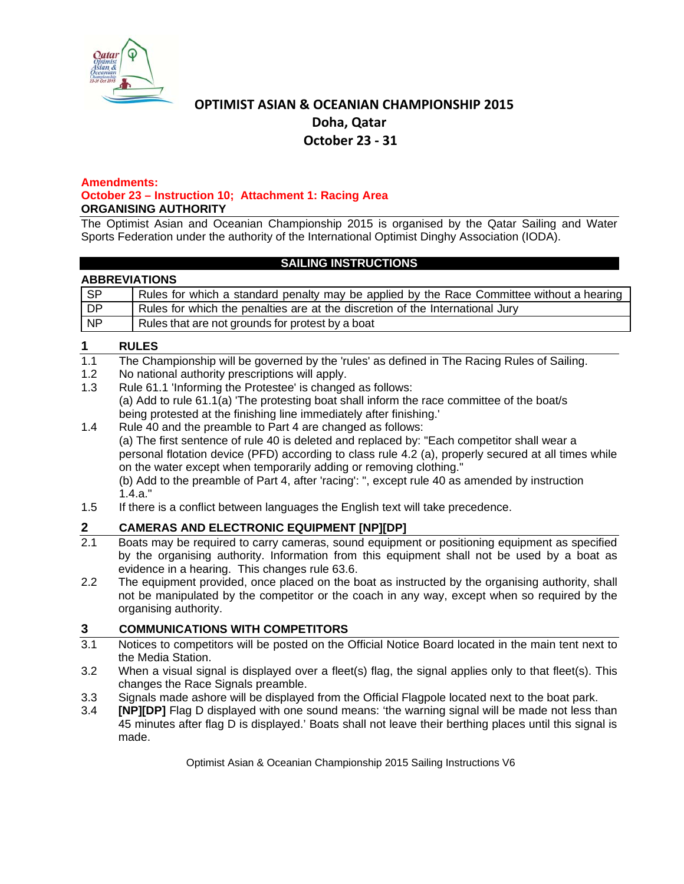

# **OPTIMIST ASIAN & OCEANIAN CHAMPIONSHIP 2015 Doha, Qatar October 23 ‐ 31**

#### **Amendments: October 23 – Instruction 10; Attachment 1: Racing Area ORGANISING AUTHORITY**

The Optimist Asian and Oceanian Championship 2015 is organised by the Qatar Sailing and Water Sports Federation under the authority of the International Optimist Dinghy Association (IODA).

## **SAILING INSTRUCTIONS**

## **ABBREVIATIONS**

| <b>SP</b>      | Rules for which a standard penalty may be applied by the Race Committee without a hearing |
|----------------|-------------------------------------------------------------------------------------------|
| DP             | Rules for which the penalties are at the discretion of the International Jury             |
| N <sup>p</sup> | Rules that are not grounds for protest by a boat                                          |

## **1 RULES**

- 1.1 The Championship will be governed by the 'rules' as defined in The Racing Rules of Sailing.
- 1.2 No national authority prescriptions will apply.
- 1.3 Rule 61.1 'Informing the Protestee' is changed as follows: (a) Add to rule 61.1(a) 'The protesting boat shall inform the race committee of the boat/s being protested at the finishing line immediately after finishing.'
- 1.4 Rule 40 and the preamble to Part 4 are changed as follows: (a) The first sentence of rule 40 is deleted and replaced by: "Each competitor shall wear a personal flotation device (PFD) according to class rule 4.2 (a), properly secured at all times while on the water except when temporarily adding or removing clothing." (b) Add to the preamble of Part 4, after 'racing': ", except rule 40 as amended by instruction 1.4.a."
- 1.5 If there is a conflict between languages the English text will take precedence.

# **2 CAMERAS AND ELECTRONIC EQUIPMENT [NP][DP]**<br> **2.1** Boats may be required to carry cameras, sound equipment

- Boats may be required to carry cameras, sound equipment or positioning equipment as specified by the organising authority. Information from this equipment shall not be used by a boat as evidence in a hearing. This changes rule 63.6.
- 2.2 The equipment provided, once placed on the boat as instructed by the organising authority, shall not be manipulated by the competitor or the coach in any way, except when so required by the organising authority.

## **3 COMMUNICATIONS WITH COMPETITORS**

- 3.1 Notices to competitors will be posted on the Official Notice Board located in the main tent next to the Media Station.
- 3.2 When a visual signal is displayed over a fleet(s) flag, the signal applies only to that fleet(s). This changes the Race Signals preamble.
- 3.3 Signals made ashore will be displayed from the Official Flagpole located next to the boat park.
- 3.4 **[NP][DP]** Flag D displayed with one sound means: 'the warning signal will be made not less than 45 minutes after flag D is displayed.' Boats shall not leave their berthing places until this signal is made.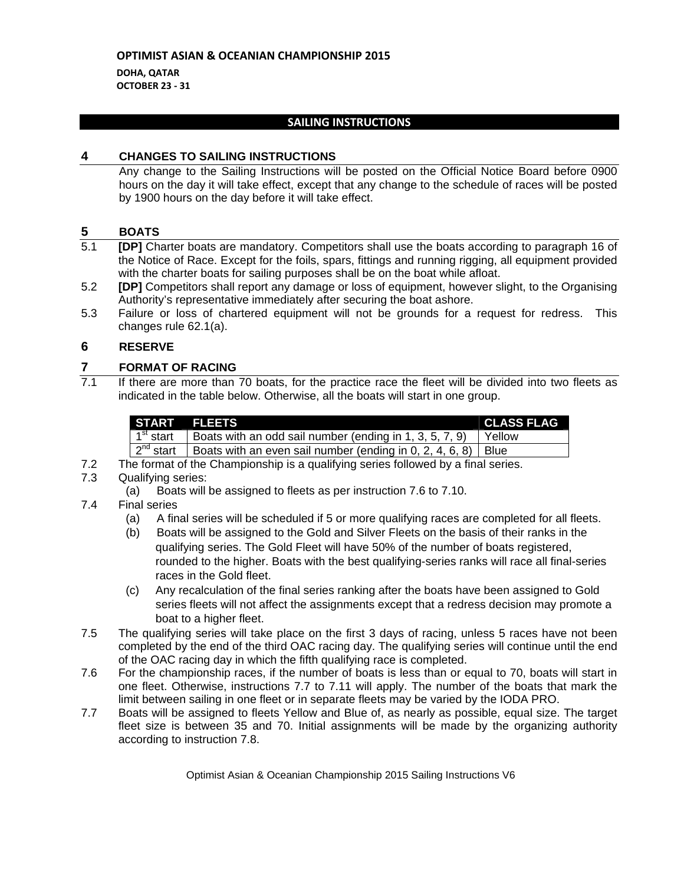**DOHA, QATAR OCTOBER 23 ‐ 31**

## **SAILING INSTRUCTIONS**

#### **4 CHANGES TO SAILING INSTRUCTIONS**

Any change to the Sailing Instructions will be posted on the Official Notice Board before 0900 hours on the day it will take effect, except that any change to the schedule of races will be posted by 1900 hours on the day before it will take effect.

## **5 BOATS**

- 5.1 **[DP]** Charter boats are mandatory. Competitors shall use the boats according to paragraph 16 of the Notice of Race. Except for the foils, spars, fittings and running rigging, all equipment provided with the charter boats for sailing purposes shall be on the boat while afloat.
- 5.2 **[DP]** Competitors shall report any damage or loss of equipment, however slight, to the Organising Authority's representative immediately after securing the boat ashore.
- 5.3 Failure or loss of chartered equipment will not be grounds for a request for redress. This changes rule 62.1(a).

## **6 RESERVE**

## **7 FORMAT OF RACING**

7.1 If there are more than 70 boats, for the practice race the fleet will be divided into two fleets as indicated in the table below. Otherwise, all the boats will start in one group.

|                              | START FLEETS                                                                                           | <b>CLASS FLAG</b> |
|------------------------------|--------------------------------------------------------------------------------------------------------|-------------------|
|                              | $\frac{1}{2}$ 1 <sup>st</sup> start   Boats with an odd sail number (ending in 1, 3, 5, 7, 9)   Yellow |                   |
| $\mid$ 2 <sup>nd</sup> start | Boats with an even sail number (ending in 0, 2, 4, 6, 8)   Blue                                        |                   |

- 7.2 The format of the Championship is a qualifying series followed by a final series.
- 7.3 Qualifying series:
	- (a) Boats will be assigned to fleets as per instruction 7.6 to 7.10.

## 7.4 Final series

- (a) A final series will be scheduled if 5 or more qualifying races are completed for all fleets.
- (b) Boats will be assigned to the Gold and Silver Fleets on the basis of their ranks in the qualifying series. The Gold Fleet will have 50% of the number of boats registered, rounded to the higher. Boats with the best qualifying-series ranks will race all final-series races in the Gold fleet.
- (c) Any recalculation of the final series ranking after the boats have been assigned to Gold series fleets will not affect the assignments except that a redress decision may promote a boat to a higher fleet.
- 7.5 The qualifying series will take place on the first 3 days of racing, unless 5 races have not been completed by the end of the third OAC racing day. The qualifying series will continue until the end of the OAC racing day in which the fifth qualifying race is completed.
- 7.6 For the championship races, if the number of boats is less than or equal to 70, boats will start in one fleet. Otherwise, instructions 7.7 to 7.11 will apply. The number of the boats that mark the limit between sailing in one fleet or in separate fleets may be varied by the IODA PRO.
- 7.7 Boats will be assigned to fleets Yellow and Blue of, as nearly as possible, equal size. The target fleet size is between 35 and 70. Initial assignments will be made by the organizing authority according to instruction 7.8.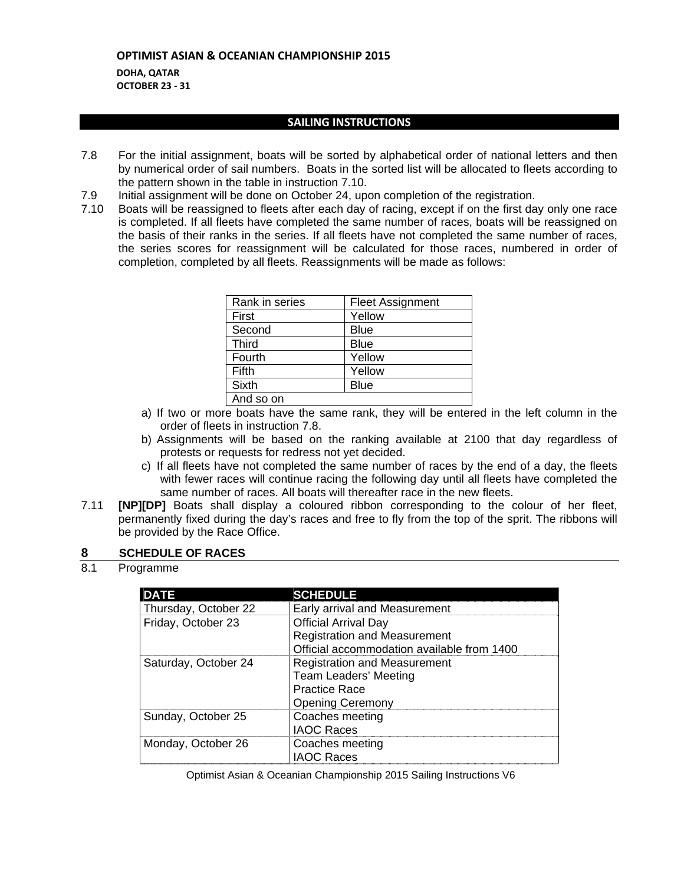**DOHA, QATAR OCTOBER 23 ‐ 31**

#### **SAILING INSTRUCTIONS**

- 7.8 For the initial assignment, boats will be sorted by alphabetical order of national letters and then by numerical order of sail numbers. Boats in the sorted list will be allocated to fleets according to the pattern shown in the table in instruction 7.10.
- 7.9 Initial assignment will be done on October 24, upon completion of the registration.
- 7.10 Boats will be reassigned to fleets after each day of racing, except if on the first day only one race is completed. If all fleets have completed the same number of races, boats will be reassigned on the basis of their ranks in the series. If all fleets have not completed the same number of races, the series scores for reassignment will be calculated for those races, numbered in order of completion, completed by all fleets. Reassignments will be made as follows:

| Rank in series | <b>Fleet Assignment</b> |
|----------------|-------------------------|
| First          | Yellow                  |
| Second         | <b>Blue</b>             |
| <b>Third</b>   | <b>Blue</b>             |
| Fourth         | Yellow                  |
| Fifth          | Yellow                  |
| <b>Sixth</b>   | <b>Blue</b>             |
| And so on      |                         |

- a) If two or more boats have the same rank, they will be entered in the left column in the order of fleets in instruction 7.8.
- b) Assignments will be based on the ranking available at 2100 that day regardless of protests or requests for redress not yet decided.
- c) If all fleets have not completed the same number of races by the end of a day, the fleets with fewer races will continue racing the following day until all fleets have completed the same number of races. All boats will thereafter race in the new fleets.
- 7.11 **[NP][DP]** Boats shall display a coloured ribbon corresponding to the colour of her fleet, permanently fixed during the day's races and free to fly from the top of the sprit. The ribbons will be provided by the Race Office.

## **8 SCHEDULE OF RACES**

8.1 Programme

| <b>DATE</b>          | <b>SCHEDULE</b>                                                                                                  |
|----------------------|------------------------------------------------------------------------------------------------------------------|
| Thursday, October 22 | Early arrival and Measurement                                                                                    |
| Friday, October 23   | <b>Official Arrival Day</b><br><b>Registration and Measurement</b><br>Official accommodation available from 1400 |
| Saturday, October 24 | <b>Registration and Measurement</b><br>Team Leaders' Meeting<br><b>Practice Race</b><br><b>Opening Ceremony</b>  |
| Sunday, October 25   | Coaches meeting<br><b>IAOC Races</b>                                                                             |
| Monday, October 26   | Coaches meeting<br><b>IAOC Races</b>                                                                             |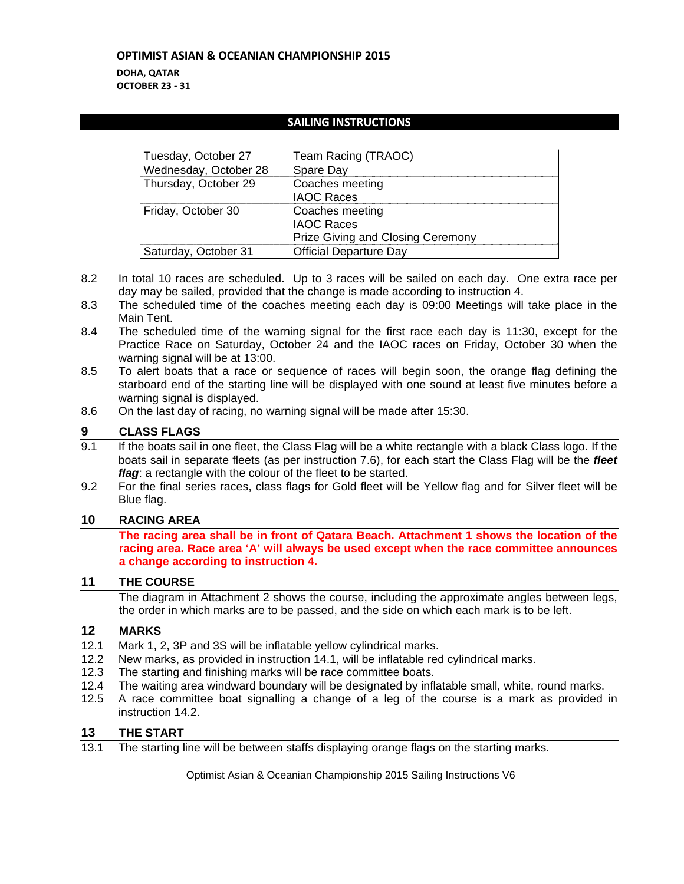#### **DOHA, QATAR OCTOBER 23 ‐ 31**

## **SAILING INSTRUCTIONS**

| Tuesday, October 27   | Team Racing (TRAOC)                                                              |
|-----------------------|----------------------------------------------------------------------------------|
| Wednesday, October 28 | Spare Day                                                                        |
| Thursday, October 29  | Coaches meeting<br><b>IAOC Races</b>                                             |
| Friday, October 30    | Coaches meeting<br><b>IAOC Races</b><br><b>Prize Giving and Closing Ceremony</b> |
| Saturday, October 31  | <b>Official Departure Day</b>                                                    |

- 8.2 In total 10 races are scheduled. Up to 3 races will be sailed on each day. One extra race per day may be sailed, provided that the change is made according to instruction 4.
- 8.3 The scheduled time of the coaches meeting each day is 09:00 Meetings will take place in the Main Tent.
- 8.4 The scheduled time of the warning signal for the first race each day is 11:30, except for the Practice Race on Saturday, October 24 and the IAOC races on Friday, October 30 when the warning signal will be at 13:00.
- 8.5 To alert boats that a race or sequence of races will begin soon, the orange flag defining the starboard end of the starting line will be displayed with one sound at least five minutes before a warning signal is displayed.
- 8.6 On the last day of racing, no warning signal will be made after 15:30.

## **9 CLASS FLAGS**

- 9.1 If the boats sail in one fleet, the Class Flag will be a white rectangle with a black Class logo. If the boats sail in separate fleets (as per instruction 7.6), for each start the Class Flag will be the *fleet flag*: a rectangle with the colour of the fleet to be started.
- 9.2 For the final series races, class flags for Gold fleet will be Yellow flag and for Silver fleet will be Blue flag.

## **10 RACING AREA**

**The racing area shall be in front of Qatara Beach. Attachment 1 shows the location of the racing area. Race area 'A' will always be used except when the race committee announces a change according to instruction 4.** 

## **11 THE COURSE**

The diagram in Attachment 2 shows the course, including the approximate angles between legs, the order in which marks are to be passed, and the side on which each mark is to be left.

## **12 MARKS**

- 12.1 Mark 1, 2, 3P and 3S will be inflatable yellow cylindrical marks.<br>12.2 New marks, as provided in instruction 14.1, will be inflatable red
- New marks, as provided in instruction 14.1, will be inflatable red cylindrical marks.
- 12.3 The starting and finishing marks will be race committee boats.
- 12.4 The waiting area windward boundary will be designated by inflatable small, white, round marks.
- 12.5 A race committee boat signalling a change of a leg of the course is a mark as provided in instruction 14.2.

## **13 THE START**

13.1 The starting line will be between staffs displaying orange flags on the starting marks.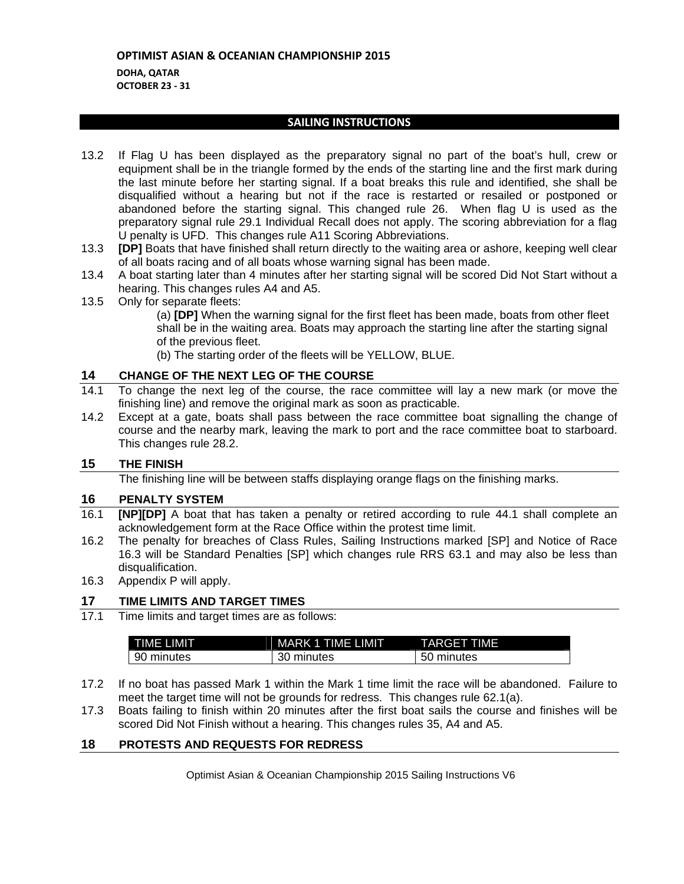## **OPTIMIST ASIAN & OCEANIAN CHAMPIONSHIP 2015 DOHA, QATAR OCTOBER 23 ‐ 31**

## **SAILING INSTRUCTIONS**

- 13.2 If Flag U has been displayed as the preparatory signal no part of the boat's hull, crew or equipment shall be in the triangle formed by the ends of the starting line and the first mark during the last minute before her starting signal. If a boat breaks this rule and identified, she shall be disqualified without a hearing but not if the race is restarted or resailed or postponed or abandoned before the starting signal. This changed rule 26. When flag U is used as the preparatory signal rule 29.1 Individual Recall does not apply. The scoring abbreviation for a flag U penalty is UFD. This changes rule A11 Scoring Abbreviations.
- 13.3 **[DP]** Boats that have finished shall return directly to the waiting area or ashore, keeping well clear of all boats racing and of all boats whose warning signal has been made.
- 13.4 A boat starting later than 4 minutes after her starting signal will be scored Did Not Start without a hearing. This changes rules A4 and A5.
- 13.5 Only for separate fleets:

(a) **[DP]** When the warning signal for the first fleet has been made, boats from other fleet shall be in the waiting area. Boats may approach the starting line after the starting signal of the previous fleet.

(b) The starting order of the fleets will be YELLOW, BLUE.

## **14 CHANGE OF THE NEXT LEG OF THE COURSE**

- 14.1 To change the next leg of the course, the race committee will lay a new mark (or move the finishing line) and remove the original mark as soon as practicable.
- 14.2 Except at a gate, boats shall pass between the race committee boat signalling the change of course and the nearby mark, leaving the mark to port and the race committee boat to starboard. This changes rule 28.2.

## **15 THE FINISH**

The finishing line will be between staffs displaying orange flags on the finishing marks.

#### **16 PENALTY SYSTEM**

- 16.1 **[NP][DP]** A boat that has taken a penalty or retired according to rule 44.1 shall complete an acknowledgement form at the Race Office within the protest time limit.
- 16.2 The penalty for breaches of Class Rules, Sailing Instructions marked [SP] and Notice of Race 16.3 will be Standard Penalties [SP] which changes rule RRS 63.1 and may also be less than disqualification.
- 16.3 Appendix P will apply.

## **17 TIME LIMITS AND TARGET TIMES**

17.1 Time limits and target times are as follows:

| TIME LIMIT | <b>MARK 1 TIME LIMIT</b> | <b>TARGET TIME</b> |
|------------|--------------------------|--------------------|
| 90 minutes | 30 minutes               | 50 minutes         |

- 17.2 If no boat has passed Mark 1 within the Mark 1 time limit the race will be abandoned. Failure to meet the target time will not be grounds for redress. This changes rule 62.1(a).
- 17.3 Boats failing to finish within 20 minutes after the first boat sails the course and finishes will be scored Did Not Finish without a hearing. This changes rules 35, A4 and A5.

#### **18 PROTESTS AND REQUESTS FOR REDRESS**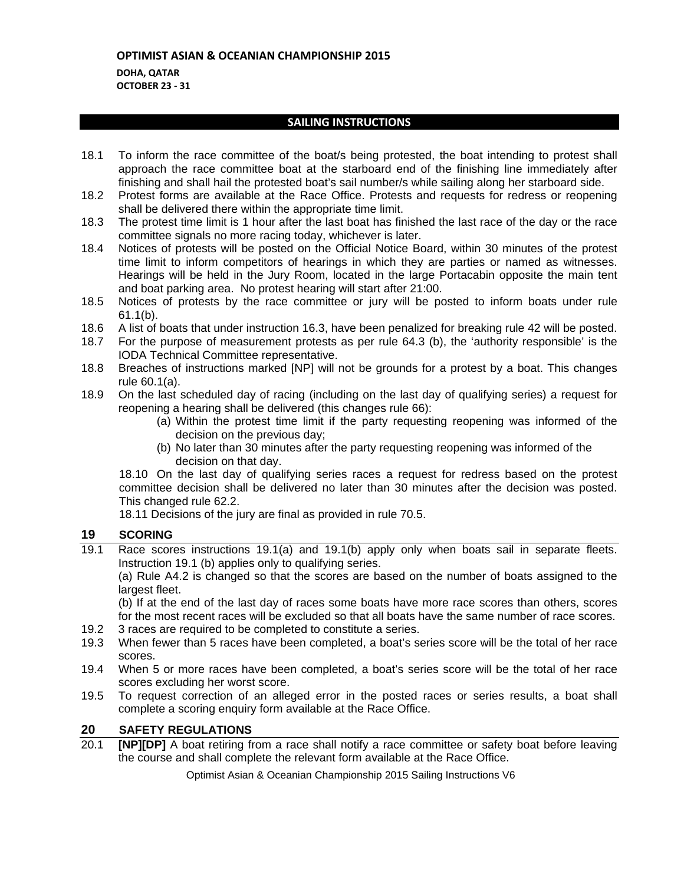## **DOHA, QATAR OCTOBER 23 ‐ 31**

## **SAILING INSTRUCTIONS**

- 18.1 To inform the race committee of the boat/s being protested, the boat intending to protest shall approach the race committee boat at the starboard end of the finishing line immediately after finishing and shall hail the protested boat's sail number/s while sailing along her starboard side.
- 18.2 Protest forms are available at the Race Office. Protests and requests for redress or reopening shall be delivered there within the appropriate time limit.
- 18.3 The protest time limit is 1 hour after the last boat has finished the last race of the day or the race committee signals no more racing today, whichever is later.
- 18.4 Notices of protests will be posted on the Official Notice Board, within 30 minutes of the protest time limit to inform competitors of hearings in which they are parties or named as witnesses. Hearings will be held in the Jury Room, located in the large Portacabin opposite the main tent and boat parking area. No protest hearing will start after 21:00.
- 18.5 Notices of protests by the race committee or jury will be posted to inform boats under rule 61.1(b).
- 18.6 A list of boats that under instruction 16.3, have been penalized for breaking rule 42 will be posted.
- 18.7 For the purpose of measurement protests as per rule 64.3 (b), the 'authority responsible' is the IODA Technical Committee representative.
- 18.8 Breaches of instructions marked [NP] will not be grounds for a protest by a boat. This changes rule 60.1(a).
- 18.9 On the last scheduled day of racing (including on the last day of qualifying series) a request for reopening a hearing shall be delivered (this changes rule 66):
	- (a) Within the protest time limit if the party requesting reopening was informed of the decision on the previous day;
	- (b) No later than 30 minutes after the party requesting reopening was informed of the decision on that day.

18.10 On the last day of qualifying series races a request for redress based on the protest committee decision shall be delivered no later than 30 minutes after the decision was posted. This changed rule 62.2.

18.11 Decisions of the jury are final as provided in rule 70.5.

## **19 SCORING**

19.1 Race scores instructions 19.1(a) and 19.1(b) apply only when boats sail in separate fleets. Instruction 19.1 (b) applies only to qualifying series.

(a) Rule A4.2 is changed so that the scores are based on the number of boats assigned to the largest fleet.

(b) If at the end of the last day of races some boats have more race scores than others, scores for the most recent races will be excluded so that all boats have the same number of race scores.

- 19.2 3 races are required to be completed to constitute a series.
- 19.3 When fewer than 5 races have been completed, a boat's series score will be the total of her race scores.
- 19.4 When 5 or more races have been completed, a boat's series score will be the total of her race scores excluding her worst score.
- 19.5 To request correction of an alleged error in the posted races or series results, a boat shall complete a scoring enquiry form available at the Race Office.

## **20 SAFETY REGULATIONS**

20.1 **[NP][DP]** A boat retiring from a race shall notify a race committee or safety boat before leaving the course and shall complete the relevant form available at the Race Office.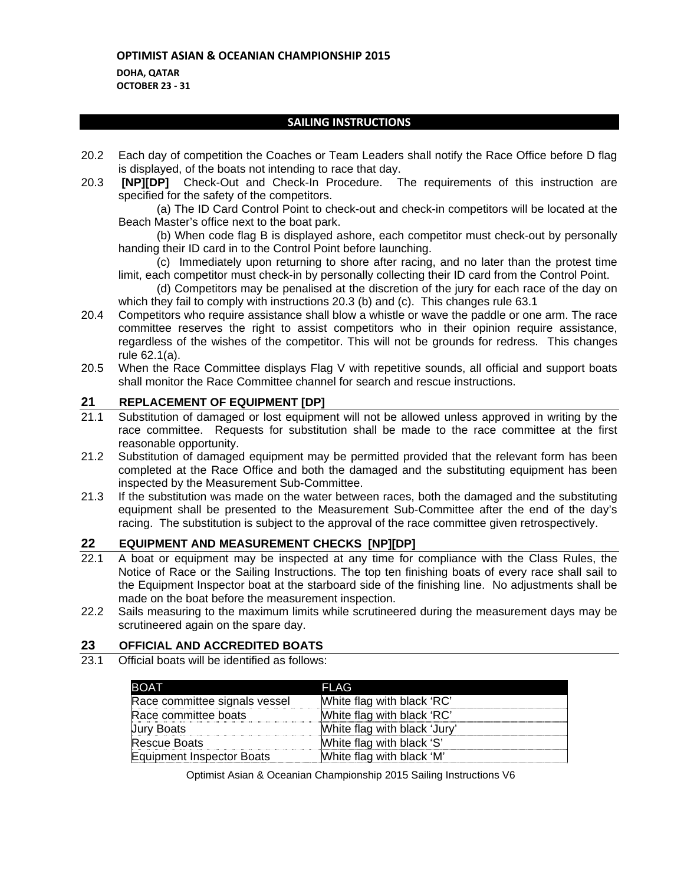**DOHA, QATAR OCTOBER 23 ‐ 31**

## **SAILING INSTRUCTIONS**

- 20.2 Each day of competition the Coaches or Team Leaders shall notify the Race Office before D flag is displayed, of the boats not intending to race that day.
- 20.3 **[NP][DP]** Check-Out and Check-In Procedure. The requirements of this instruction are specified for the safety of the competitors.

 (a) The ID Card Control Point to check-out and check-in competitors will be located at the Beach Master's office next to the boat park.

 (b) When code flag B is displayed ashore, each competitor must check-out by personally handing their ID card in to the Control Point before launching.

- (c) Immediately upon returning to shore after racing, and no later than the protest time limit, each competitor must check-in by personally collecting their ID card from the Control Point.
- (d) Competitors may be penalised at the discretion of the jury for each race of the day on which they fail to comply with instructions 20.3 (b) and (c). This changes rule 63.1
- 20.4 Competitors who require assistance shall blow a whistle or wave the paddle or one arm. The race committee reserves the right to assist competitors who in their opinion require assistance, regardless of the wishes of the competitor. This will not be grounds for redress. This changes rule 62.1(a).
- 20.5 When the Race Committee displays Flag V with repetitive sounds, all official and support boats shall monitor the Race Committee channel for search and rescue instructions.

## **21 REPLACEMENT OF EQUIPMENT [DP]**

- 21.1 Substitution of damaged or lost equipment will not be allowed unless approved in writing by the race committee. Requests for substitution shall be made to the race committee at the first reasonable opportunity.
- 21.2 Substitution of damaged equipment may be permitted provided that the relevant form has been completed at the Race Office and both the damaged and the substituting equipment has been inspected by the Measurement Sub-Committee.
- 21.3 If the substitution was made on the water between races, both the damaged and the substituting equipment shall be presented to the Measurement Sub-Committee after the end of the day's racing. The substitution is subject to the approval of the race committee given retrospectively.

## **22 EQUIPMENT AND MEASUREMENT CHECKS [NP][DP]**

- 22.1 A boat or equipment may be inspected at any time for compliance with the Class Rules, the Notice of Race or the Sailing Instructions. The top ten finishing boats of every race shall sail to the Equipment Inspector boat at the starboard side of the finishing line. No adjustments shall be made on the boat before the measurement inspection.
- 22.2 Sails measuring to the maximum limits while scrutineered during the measurement days may be scrutineered again on the spare day.

## **23 OFFICIAL AND ACCREDITED BOATS**

23.1 Official boats will be identified as follows:

| <b>BOAT</b>                   | FLAG                         |
|-------------------------------|------------------------------|
| Race committee signals vessel | White flag with black 'RC'   |
| Race committee boats          | White flag with black 'RC'   |
| <b>Jury Boats</b>             | White flag with black 'Jury' |
| <b>Rescue Boats</b>           | White flag with black 'S'    |
| Equipment Inspector Boats     | White flag with black 'M'    |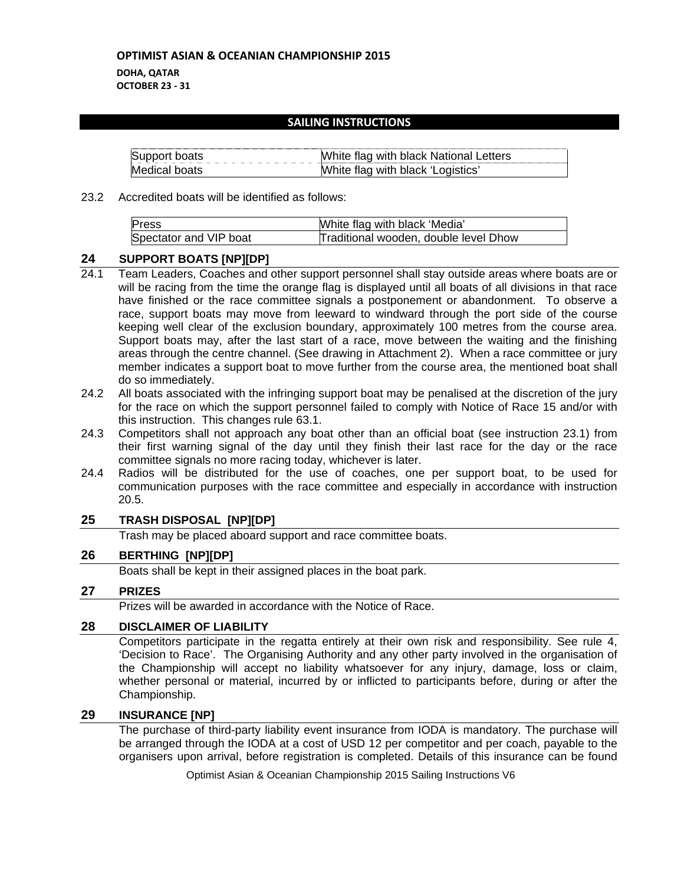**DOHA, QATAR OCTOBER 23 ‐ 31**

#### **SAILING INSTRUCTIONS**

| Support boats | White flag with black National Letters |
|---------------|----------------------------------------|
| Medical boats | White flag with black 'Logistics'      |

#### 23.2 Accredited boats will be identified as follows:

| Press                  | White flag with black 'Media'         |
|------------------------|---------------------------------------|
| Spectator and VIP boat | Traditional wooden, double level Dhow |

#### **24 SUPPORT BOATS [NP][DP]**

- 24.1 Team Leaders, Coaches and other support personnel shall stay outside areas where boats are or will be racing from the time the orange flag is displayed until all boats of all divisions in that race have finished or the race committee signals a postponement or abandonment. To observe a race, support boats may move from leeward to windward through the port side of the course keeping well clear of the exclusion boundary, approximately 100 metres from the course area. Support boats may, after the last start of a race, move between the waiting and the finishing areas through the centre channel. (See drawing in Attachment 2). When a race committee or jury member indicates a support boat to move further from the course area, the mentioned boat shall do so immediately.
- 24.2 All boats associated with the infringing support boat may be penalised at the discretion of the jury for the race on which the support personnel failed to comply with Notice of Race 15 and/or with this instruction. This changes rule 63.1.
- 24.3 Competitors shall not approach any boat other than an official boat (see instruction 23.1) from their first warning signal of the day until they finish their last race for the day or the race committee signals no more racing today, whichever is later.
- 24.4 Radios will be distributed for the use of coaches, one per support boat, to be used for communication purposes with the race committee and especially in accordance with instruction 20.5.

## **25 TRASH DISPOSAL [NP][DP]**

Trash may be placed aboard support and race committee boats.

## **26 BERTHING [NP][DP]**

Boats shall be kept in their assigned places in the boat park.

## **27 PRIZES**

Prizes will be awarded in accordance with the Notice of Race.

## **28 DISCLAIMER OF LIABILITY**

Competitors participate in the regatta entirely at their own risk and responsibility. See rule 4, 'Decision to Race'. The Organising Authority and any other party involved in the organisation of the Championship will accept no liability whatsoever for any injury, damage, loss or claim, whether personal or material, incurred by or inflicted to participants before, during or after the Championship.

## **29 INSURANCE [NP]**

The purchase of third-party liability event insurance from IODA is mandatory. The purchase will be arranged through the IODA at a cost of USD 12 per competitor and per coach, payable to the organisers upon arrival, before registration is completed. Details of this insurance can be found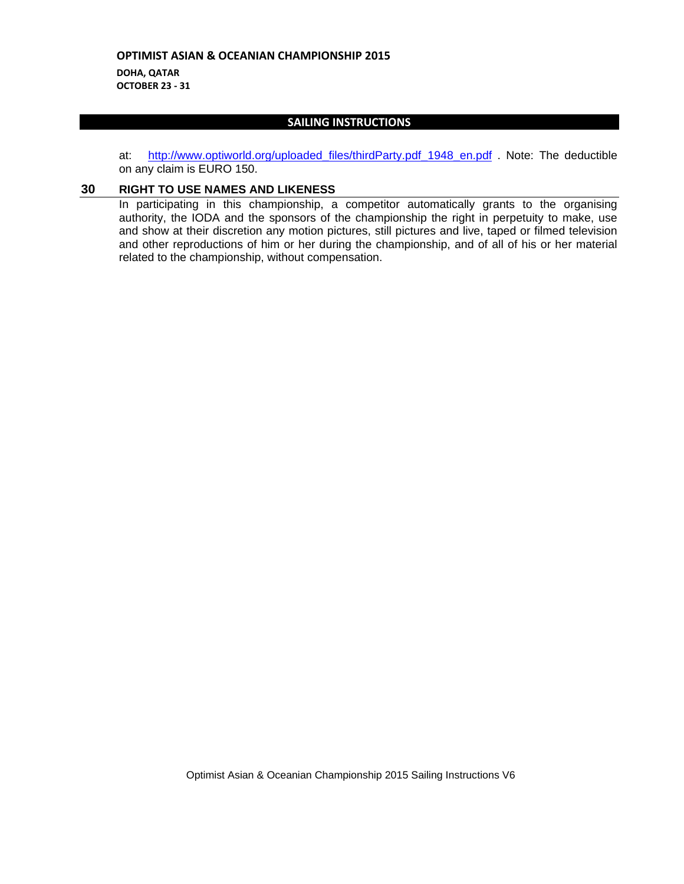**DOHA, QATAR OCTOBER 23 ‐ 31**

## **SAILING INSTRUCTIONS**

at: http://www.optiworld.org/uploaded\_files/thirdParty.pdf\_1948\_en.pdf . Note: The deductible on any claim is EURO 150.

#### **30 RIGHT TO USE NAMES AND LIKENESS**

In participating in this championship, a competitor automatically grants to the organising authority, the IODA and the sponsors of the championship the right in perpetuity to make, use and show at their discretion any motion pictures, still pictures and live, taped or filmed television and other reproductions of him or her during the championship, and of all of his or her material related to the championship, without compensation.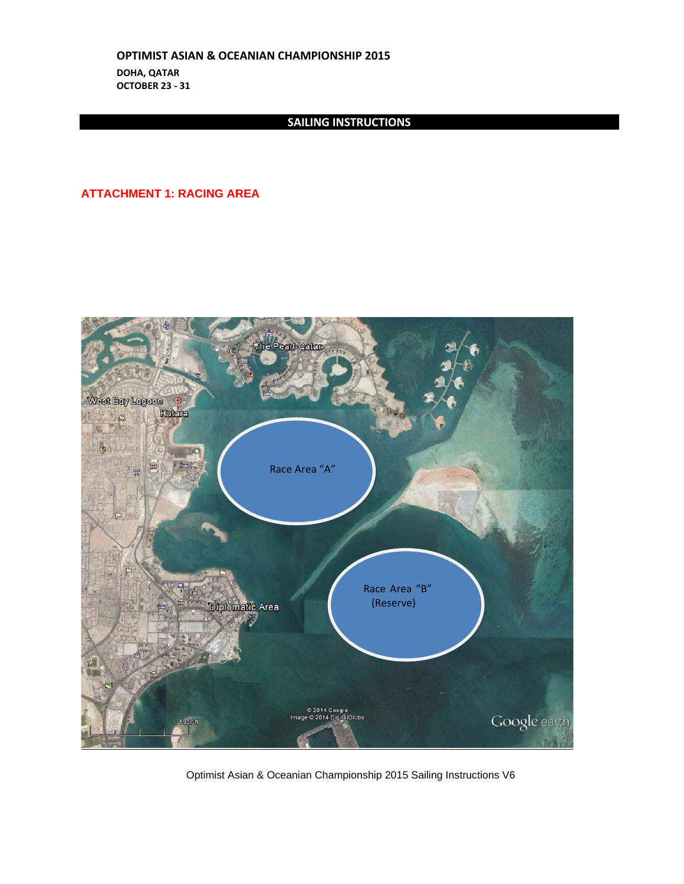**OPTIMIST ASIAN & OCEANIAN CHAMPIONSHIP 2015 DOHA, QATAR OCTOBER 23 ‐ 31**

## **SAILING INSTRUCTIONS**

## **ATTACHMENT 1: RACING AREA**



Optimist Asian & Oceanian Championship 2015 Sailing Instructions V6